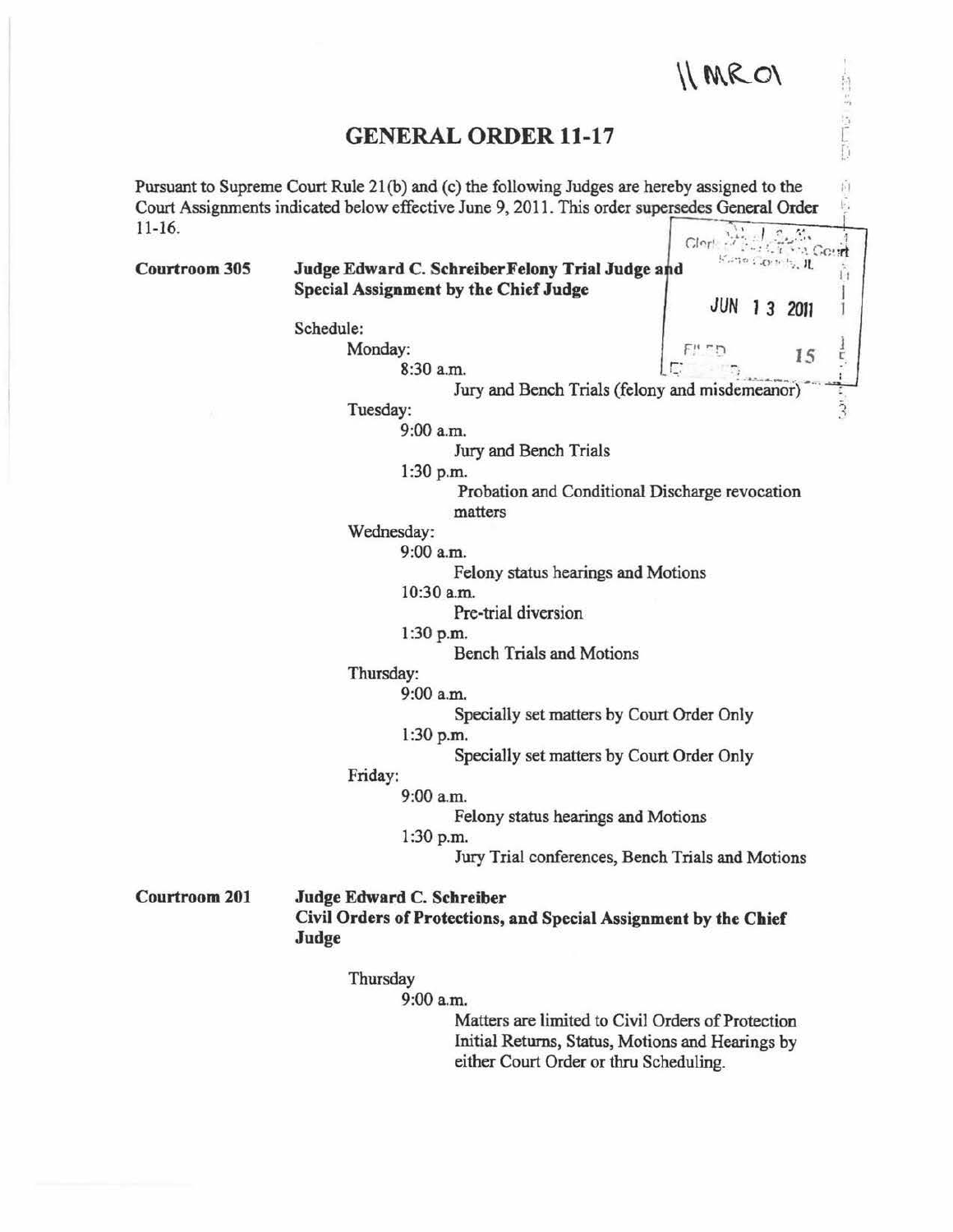## $\Lambda$  MRO $\Lambda$

. .. ,

## GENERAL ORDER 11-17

Pursuant to Supreme Court Rule 21(b) and (c) the following Judges are hereby assigned to the Ú Court Assignments indicated below effective June 9, 201 1. This order supersedes General Order 11-16.  $Clor!$ **MAL Goart** 

Kano Conch. IL Courtroom 305 Judge Edward C. Schreiber Felony Trial Judge and ň Special Assignment by the Chief Judge JUN 13 2011 Schedule: Monday:  $I_5$  ,  $I_5$  ,  $I_5$  ,  $I_5$  ,  $I_5$  ,  $I_5$  ,  $I_5$  ,  $I_5$  ,  $I_5$  ,  $I_5$  ,  $I_5$  ,  $I_5$  ,  $I_5$  ,  $I_5$  ,  $I_5$  ,  $I_5$  ,  $I_5$  ,  $I_5$  ,  $I_5$  ,  $I_5$  ,  $I_5$  ,  $I_5$  ,  $I_5$  ,  $I_5$  ,  $I_5$  ,  $I_5$  ,  $I_5$ 8:30 a.m. Jury and Bench Trials (felony and misdemeanor) Tuesday: 9:00a.m. Jury and Bench Trials 1:30 p.m. Probation and Conditional Discharge revocation matters Wednesday: 9:00 a.m. Felony status hearings and Motions 10:30 a.m. Pre-trial diversion 1:30p.m. Bench Trials and Motions Thursday: 9:00a.m. Specially set matters by Court Order Only 1:30 p.rn. Specially set matters by Court Order Only Friday: 9:00am. Felony status hearings and Motions 1:30 p.m. Jury Trial conferences, Bench Trials and Motions Courtroom 201 Judge Edward C. Schreiber Civil Orders of Protections, and Special Assignment by the Chief Judge Thursday 9:00a.m. Matters are limited to Civil Orders of Protection Initial Returns, Status, Motions and Hearings by

either Court Order or thru Scheduling.